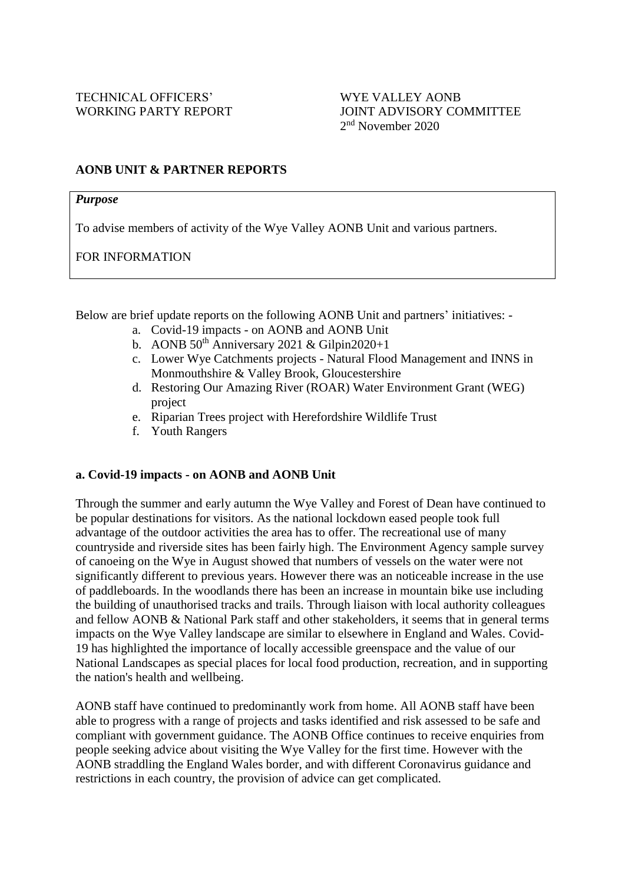### **AONB UNIT & PARTNER REPORTS**

#### *Purpose*

To advise members of activity of the Wye Valley AONB Unit and various partners.

FOR INFORMATION

Below are brief update reports on the following AONB Unit and partners' initiatives: -

- a. Covid-19 impacts on AONB and AONB Unit
- b. AONB  $50^{th}$  Anniversary 2021 & Gilpin2020+1
- c. Lower Wye Catchments projects Natural Flood Management and INNS in Monmouthshire & Valley Brook, Gloucestershire
- d. Restoring Our Amazing River (ROAR) Water Environment Grant (WEG) project
- e. Riparian Trees project with Herefordshire Wildlife Trust
- f. Youth Rangers

# **a. Covid-19 impacts - on AONB and AONB Unit**

Through the summer and early autumn the Wye Valley and Forest of Dean have continued to be popular destinations for visitors. As the national lockdown eased people took full advantage of the outdoor activities the area has to offer. The recreational use of many countryside and riverside sites has been fairly high. The Environment Agency sample survey of canoeing on the Wye in August showed that numbers of vessels on the water were not significantly different to previous years. However there was an noticeable increase in the use of paddleboards. In the woodlands there has been an increase in mountain bike use including the building of unauthorised tracks and trails. Through liaison with local authority colleagues and fellow AONB & National Park staff and other stakeholders, it seems that in general terms impacts on the Wye Valley landscape are similar to elsewhere in England and Wales. Covid-19 has highlighted the importance of locally accessible greenspace and the value of our National Landscapes as special places for local food production, recreation, and in supporting the nation's health and wellbeing.

AONB staff have continued to predominantly work from home. All AONB staff have been able to progress with a range of projects and tasks identified and risk assessed to be safe and compliant with government guidance. The AONB Office continues to receive enquiries from people seeking advice about visiting the Wye Valley for the first time. However with the AONB straddling the England Wales border, and with different Coronavirus guidance and restrictions in each country, the provision of advice can get complicated.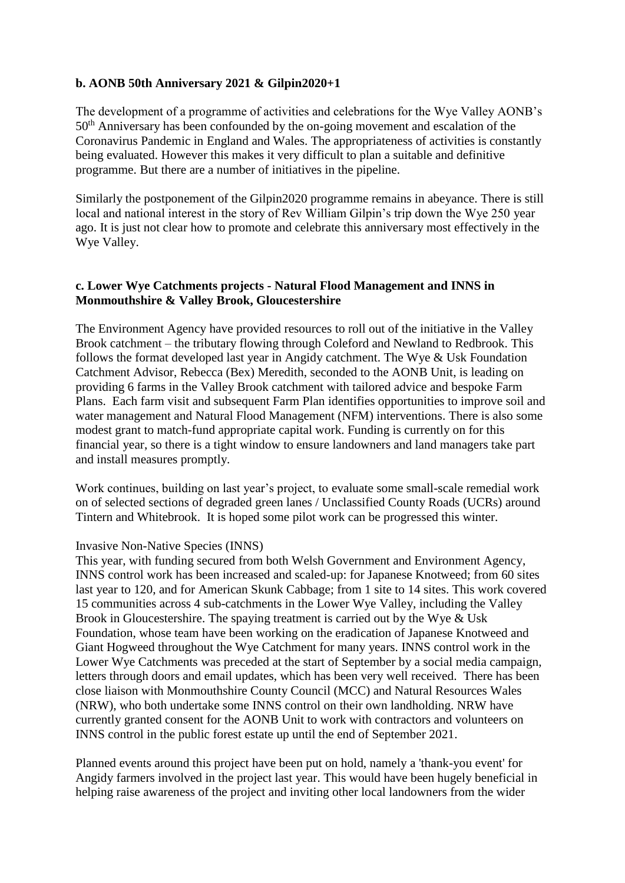### **b. AONB 50th Anniversary 2021 & Gilpin2020+1**

The development of a programme of activities and celebrations for the Wye Valley AONB's 50th Anniversary has been confounded by the on-going movement and escalation of the Coronavirus Pandemic in England and Wales. The appropriateness of activities is constantly being evaluated. However this makes it very difficult to plan a suitable and definitive programme. But there are a number of initiatives in the pipeline.

Similarly the postponement of the Gilpin2020 programme remains in abeyance. There is still local and national interest in the story of Rev William Gilpin's trip down the Wye 250 year ago. It is just not clear how to promote and celebrate this anniversary most effectively in the Wye Valley.

### **c. Lower Wye Catchments projects - Natural Flood Management and INNS in Monmouthshire & Valley Brook, Gloucestershire**

The Environment Agency have provided resources to roll out of the initiative in the Valley Brook catchment – the tributary flowing through Coleford and Newland to Redbrook. This follows the format developed last year in Angidy catchment. The Wye & Usk Foundation Catchment Advisor, Rebecca (Bex) Meredith, seconded to the AONB Unit, is leading on providing 6 farms in the Valley Brook catchment with tailored advice and bespoke Farm Plans. Each farm visit and subsequent Farm Plan identifies opportunities to improve soil and water management and Natural Flood Management (NFM) interventions. There is also some modest grant to match-fund appropriate capital work. Funding is currently on for this financial year, so there is a tight window to ensure landowners and land managers take part and install measures promptly.

Work continues, building on last year's project, to evaluate some small-scale remedial work on of selected sections of degraded green lanes / Unclassified County Roads (UCRs) around Tintern and Whitebrook. It is hoped some pilot work can be progressed this winter.

#### Invasive Non-Native Species (INNS)

This year, with funding secured from both Welsh Government and Environment Agency, INNS control work has been increased and scaled-up: for Japanese Knotweed; from 60 sites last year to 120, and for American Skunk Cabbage; from 1 site to 14 sites. This work covered 15 communities across 4 sub-catchments in the Lower Wye Valley, including the Valley Brook in Gloucestershire. The spaying treatment is carried out by the Wye & Usk Foundation, whose team have been working on the eradication of Japanese Knotweed and Giant Hogweed throughout the Wye Catchment for many years. INNS control work in the Lower Wye Catchments was preceded at the start of September by a social media campaign, letters through doors and email updates, which has been very well received. There has been close liaison with Monmouthshire County Council (MCC) and Natural Resources Wales (NRW), who both undertake some INNS control on their own landholding. NRW have currently granted consent for the AONB Unit to work with contractors and volunteers on INNS control in the public forest estate up until the end of September 2021.

Planned events around this project have been put on hold, namely a 'thank-you event' for Angidy farmers involved in the project last year. This would have been hugely beneficial in helping raise awareness of the project and inviting other local landowners from the wider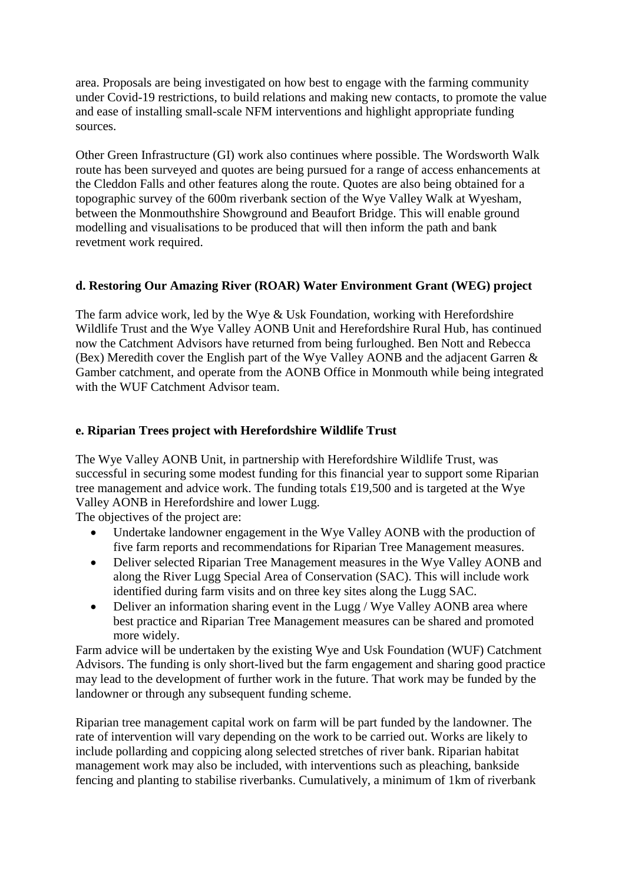area. Proposals are being investigated on how best to engage with the farming community under Covid-19 restrictions, to build relations and making new contacts, to promote the value and ease of installing small-scale NFM interventions and highlight appropriate funding sources.

Other Green Infrastructure (GI) work also continues where possible. The Wordsworth Walk route has been surveyed and quotes are being pursued for a range of access enhancements at the Cleddon Falls and other features along the route. Quotes are also being obtained for a topographic survey of the 600m riverbank section of the Wye Valley Walk at Wyesham, between the Monmouthshire Showground and Beaufort Bridge. This will enable ground modelling and visualisations to be produced that will then inform the path and bank revetment work required.

# **d. Restoring Our Amazing River (ROAR) Water Environment Grant (WEG) project**

The farm advice work, led by the Wye & Usk Foundation, working with Herefordshire Wildlife Trust and the Wye Valley AONB Unit and Herefordshire Rural Hub, has continued now the Catchment Advisors have returned from being furloughed. Ben Nott and Rebecca (Bex) Meredith cover the English part of the Wye Valley AONB and the adjacent Garren & Gamber catchment, and operate from the AONB Office in Monmouth while being integrated with the WUF Catchment Advisor team.

### **e. Riparian Trees project with Herefordshire Wildlife Trust**

The Wye Valley AONB Unit, in partnership with Herefordshire Wildlife Trust, was successful in securing some modest funding for this financial year to support some Riparian tree management and advice work. The funding totals £19,500 and is targeted at the Wye Valley AONB in Herefordshire and lower Lugg.

The objectives of the project are:

- Undertake landowner engagement in the Wye Valley AONB with the production of five farm reports and recommendations for Riparian Tree Management measures.
- Deliver selected Riparian Tree Management measures in the Wye Valley AONB and along the River Lugg Special Area of Conservation (SAC). This will include work identified during farm visits and on three key sites along the Lugg SAC.
- Deliver an information sharing event in the Lugg / Wye Valley AONB area where best practice and Riparian Tree Management measures can be shared and promoted more widely.

Farm advice will be undertaken by the existing Wye and Usk Foundation (WUF) Catchment Advisors. The funding is only short-lived but the farm engagement and sharing good practice may lead to the development of further work in the future. That work may be funded by the landowner or through any subsequent funding scheme.

Riparian tree management capital work on farm will be part funded by the landowner. The rate of intervention will vary depending on the work to be carried out. Works are likely to include pollarding and coppicing along selected stretches of river bank. Riparian habitat management work may also be included, with interventions such as pleaching, bankside fencing and planting to stabilise riverbanks. Cumulatively, a minimum of 1km of riverbank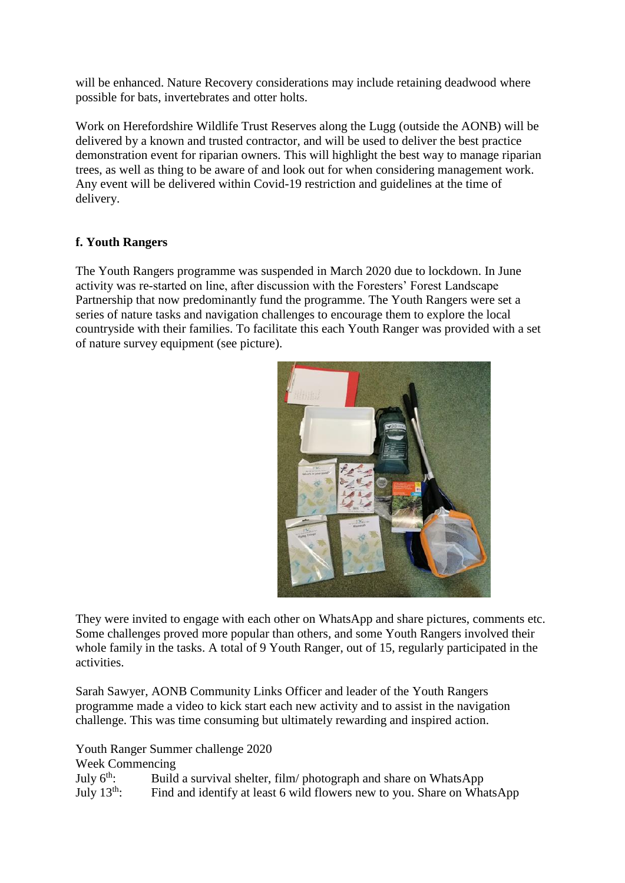will be enhanced. Nature Recovery considerations may include retaining deadwood where possible for bats, invertebrates and otter holts.

Work on Herefordshire Wildlife Trust Reserves along the Lugg (outside the AONB) will be delivered by a known and trusted contractor, and will be used to deliver the best practice demonstration event for riparian owners. This will highlight the best way to manage riparian trees, as well as thing to be aware of and look out for when considering management work. Any event will be delivered within Covid-19 restriction and guidelines at the time of delivery.

# **f. Youth Rangers**

The Youth Rangers programme was suspended in March 2020 due to lockdown. In June activity was re-started on line, after discussion with the Foresters' Forest Landscape Partnership that now predominantly fund the programme. The Youth Rangers were set a series of nature tasks and navigation challenges to encourage them to explore the local countryside with their families. To facilitate this each Youth Ranger was provided with a set of nature survey equipment (see picture).



They were invited to engage with each other on WhatsApp and share pictures, comments etc. Some challenges proved more popular than others, and some Youth Rangers involved their whole family in the tasks. A total of 9 Youth Ranger, out of 15, regularly participated in the activities.

Sarah Sawyer, AONB Community Links Officer and leader of the Youth Rangers programme made a video to kick start each new activity and to assist in the navigation challenge. This was time consuming but ultimately rewarding and inspired action.

Youth Ranger Summer challenge 2020

Week Commencing

July  $6^{\text{th}}$ : Build a survival shelter, film/ photograph and share on WhatsApp July 13th: Find and identify at least 6 wild flowers new to you. Share on WhatsApp